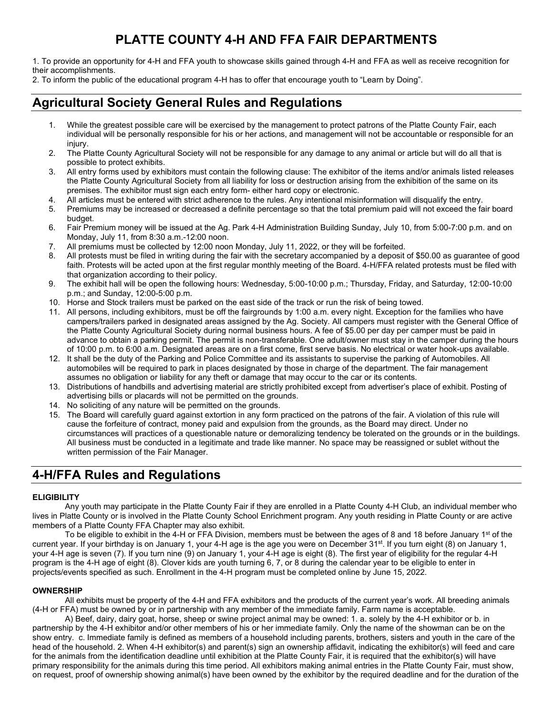# **PLATTE COUNTY 4-H AND FFA FAIR DEPARTMENTS**

1. To provide an opportunity for 4-H and FFA youth to showcase skills gained through 4-H and FFA as well as receive recognition for their accomplishments.

2. To inform the public of the educational program 4-H has to offer that encourage youth to "Learn by Doing".

## **Agricultural Society General Rules and Regulations**

- 1. While the greatest possible care will be exercised by the management to protect patrons of the Platte County Fair, each individual will be personally responsible for his or her actions, and management will not be accountable or responsible for an injury.
- 2. The Platte County Agricultural Society will not be responsible for any damage to any animal or article but will do all that is possible to protect exhibits.
- 3. All entry forms used by exhibitors must contain the following clause: The exhibitor of the items and/or animals listed releases the Platte County Agricultural Society from all liability for loss or destruction arising from the exhibition of the same on its premises. The exhibitor must sign each entry form- either hard copy or electronic.
- 4. All articles must be entered with strict adherence to the rules. Any intentional misinformation will disqualify the entry.
- 5. Premiums may be increased or decreased a definite percentage so that the total premium paid will not exceed the fair board budget.
- 6. Fair Premium money will be issued at the Ag. Park 4-H Administration Building Sunday, July 10, from 5:00-7:00 p.m. and on Monday, July 11, from 8:30 a.m.-12:00 noon.
- 7. All premiums must be collected by 12:00 noon Monday, July 11, 2022, or they will be forfeited.
- 8. All protests must be filed in writing during the fair with the secretary accompanied by a deposit of \$50.00 as guarantee of good faith. Protests will be acted upon at the first regular monthly meeting of the Board. 4-H/FFA related protests must be filed with that organization according to their policy.
- 9. The exhibit hall will be open the following hours: Wednesday, 5:00-10:00 p.m.; Thursday, Friday, and Saturday, 12:00-10:00 p.m.; and Sunday, 12:00-5:00 p.m.
- 10. Horse and Stock trailers must be parked on the east side of the track or run the risk of being towed.
- 11. All persons, including exhibitors, must be off the fairgrounds by 1:00 a.m. every night. Exception for the families who have campers/trailers parked in designated areas assigned by the Ag. Society. All campers must register with the General Office of the Platte County Agricultural Society during normal business hours. A fee of \$5.00 per day per camper must be paid in advance to obtain a parking permit. The permit is non-transferable. One adult/owner must stay in the camper during the hours of 10:00 p.m. to 6:00 a.m. Designated areas are on a first come, first serve basis. No electrical or water hook-ups available.
- 12. It shall be the duty of the Parking and Police Committee and its assistants to supervise the parking of Automobiles. All automobiles will be required to park in places designated by those in charge of the department. The fair management assumes no obligation or liability for any theft or damage that may occur to the car or its contents.
- 13. Distributions of handbills and advertising material are strictly prohibited except from advertiser's place of exhibit. Posting of advertising bills or placards will not be permitted on the grounds.
- 14. No soliciting of any nature will be permitted on the grounds.
- 15. The Board will carefully guard against extortion in any form practiced on the patrons of the fair. A violation of this rule will cause the forfeiture of contract, money paid and expulsion from the grounds, as the Board may direct. Under no circumstances will practices of a questionable nature or demoralizing tendency be tolerated on the grounds or in the buildings. All business must be conducted in a legitimate and trade like manner. No space may be reassigned or sublet without the written permission of the Fair Manager.

## **4-H/FFA Rules and Regulations**

## **ELIGIBILITY**

Any youth may participate in the Platte County Fair if they are enrolled in a Platte County 4-H Club, an individual member who lives in Platte County or is involved in the Platte County School Enrichment program. Any youth residing in Platte County or are active members of a Platte County FFA Chapter may also exhibit.

To be eligible to exhibit in the 4-H or FFA Division, members must be between the ages of 8 and 18 before January 1<sup>st</sup> of the current year. If your birthday is on January 1, your 4-H age is the age you were on December 31<sup>st</sup>. If you turn eight (8) on January 1, your 4-H age is seven (7). If you turn nine (9) on January 1, your 4-H age is eight (8). The first year of eligibility for the regular 4-H program is the 4-H age of eight (8). Clover kids are youth turning 6, 7, or 8 during the calendar year to be eligible to enter in projects/events specified as such. Enrollment in the 4-H program must be completed online by June 15, 2022.

## **OWNERSHIP**

All exhibits must be property of the 4-H and FFA exhibitors and the products of the current year's work. All breeding animals (4-H or FFA) must be owned by or in partnership with any member of the immediate family. Farm name is acceptable.

A) Beef, dairy, dairy goat, horse, sheep or swine project animal may be owned: 1. a. solely by the 4-H exhibitor or b. in partnership by the 4-H exhibitor and/or other members of his or her immediate family. Only the name of the showman can be on the show entry. c. Immediate family is defined as members of a household including parents, brothers, sisters and youth in the care of the head of the household. 2. When 4-H exhibitor(s) and parent(s) sign an ownership affidavit, indicating the exhibitor(s) will feed and care for the animals from the identification deadline until exhibition at the Platte County Fair, it is required that the exhibitor(s) will have primary responsibility for the animals during this time period. All exhibitors making animal entries in the Platte County Fair, must show, on request, proof of ownership showing animal(s) have been owned by the exhibitor by the required deadline and for the duration of the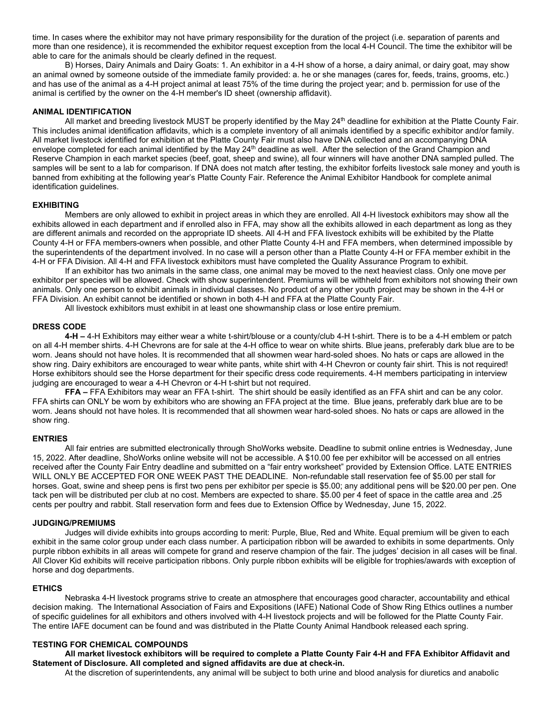time. In cases where the exhibitor may not have primary responsibility for the duration of the project (i.e. separation of parents and more than one residence), it is recommended the exhibitor request exception from the local 4-H Council. The time the exhibitor will be able to care for the animals should be clearly defined in the request.

B) Horses, Dairy Animals and Dairy Goats: 1. An exhibitor in a 4-H show of a horse, a dairy animal, or dairy goat, may show an animal owned by someone outside of the immediate family provided: a. he or she manages (cares for, feeds, trains, grooms, etc.) and has use of the animal as a 4-H project animal at least 75% of the time during the project year; and b. permission for use of the animal is certified by the owner on the 4-H member's ID sheet (ownership affidavit).

## **ANIMAL IDENTIFICATION**

All market and breeding livestock MUST be properly identified by the May 24<sup>th</sup> deadline for exhibition at the Platte County Fair. This includes animal identification affidavits, which is a complete inventory of all animals identified by a specific exhibitor and/or family. All market livestock identified for exhibition at the Platte County Fair must also have DNA collected and an accompanying DNA envelope completed for each animal identified by the May 24<sup>th</sup> deadline as well. After the selection of the Grand Champion and Reserve Champion in each market species (beef, goat, sheep and swine), all four winners will have another DNA sampled pulled. The samples will be sent to a lab for comparison. If DNA does not match after testing, the exhibitor forfeits livestock sale money and youth is banned from exhibiting at the following year's Platte County Fair. Reference the Animal Exhibitor Handbook for complete animal identification guidelines.

## **EXHIBITING**

Members are only allowed to exhibit in project areas in which they are enrolled. All 4-H livestock exhibitors may show all the exhibits allowed in each department and if enrolled also in FFA, may show all the exhibits allowed in each department as long as they are different animals and recorded on the appropriate ID sheets. All 4-H and FFA livestock exhibits will be exhibited by the Platte County 4-H or FFA members-owners when possible, and other Platte County 4-H and FFA members, when determined impossible by the superintendents of the department involved. In no case will a person other than a Platte County 4-H or FFA member exhibit in the 4-H or FFA Division. All 4-H and FFA livestock exhibitors must have completed the Quality Assurance Program to exhibit.

If an exhibitor has two animals in the same class, one animal may be moved to the next heaviest class. Only one move per exhibitor per species will be allowed. Check with show superintendent. Premiums will be withheld from exhibitors not showing their own animals. Only one person to exhibit animals in individual classes. No product of any other youth project may be shown in the 4-H or FFA Division. An exhibit cannot be identified or shown in both 4-H and FFA at the Platte County Fair.

All livestock exhibitors must exhibit in at least one showmanship class or lose entire premium.

#### **DRESS CODE**

**4-H –** 4-H Exhibitors may either wear a white t-shirt/blouse or a county/club 4-H t-shirt. There is to be a 4-H emblem or patch on all 4-H member shirts. 4-H Chevrons are for sale at the 4-H office to wear on white shirts. Blue jeans, preferably dark blue are to be worn. Jeans should not have holes. It is recommended that all showmen wear hard-soled shoes. No hats or caps are allowed in the show ring. Dairy exhibitors are encouraged to wear white pants, white shirt with 4-H Chevron or county fair shirt. This is not required! Horse exhibitors should see the Horse department for their specific dress code requirements. 4-H members participating in interview judging are encouraged to wear a 4-H Chevron or 4-H t-shirt but not required.

**FFA –** FFA Exhibitors may wear an FFA t-shirt. The shirt should be easily identified as an FFA shirt and can be any color. FFA shirts can ONLY be worn by exhibitors who are showing an FFA project at the time. Blue jeans, preferably dark blue are to be worn. Jeans should not have holes. It is recommended that all showmen wear hard-soled shoes. No hats or caps are allowed in the show ring.

#### **ENTRIES**

All fair entries are submitted electronically through ShoWorks website. Deadline to submit online entries is Wednesday, June 15, 2022. After deadline, ShoWorks online website will not be accessible. A \$10.00 fee per exhibitor will be accessed on all entries received after the County Fair Entry deadline and submitted on a "fair entry worksheet" provided by Extension Office. LATE ENTRIES WILL ONLY BE ACCEPTED FOR ONE WEEK PAST THE DEADLINE. Non-refundable stall reservation fee of \$5.00 per stall for horses. Goat, swine and sheep pens is first two pens per exhibitor per specie is \$5.00; any additional pens will be \$20.00 per pen. One tack pen will be distributed per club at no cost. Members are expected to share. \$5.00 per 4 feet of space in the cattle area and .25 cents per poultry and rabbit. Stall reservation form and fees due to Extension Office by Wednesday, June 15, 2022.

## **JUDGING/PREMIUMS**

Judges will divide exhibits into groups according to merit: Purple, Blue, Red and White. Equal premium will be given to each exhibit in the same color group under each class number. A participation ribbon will be awarded to exhibits in some departments. Only purple ribbon exhibits in all areas will compete for grand and reserve champion of the fair. The judges' decision in all cases will be final. All Clover Kid exhibits will receive participation ribbons. Only purple ribbon exhibits will be eligible for trophies/awards with exception of horse and dog departments.

#### **ETHICS**

Nebraska 4-H livestock programs strive to create an atmosphere that encourages good character, accountability and ethical decision making. The International Association of Fairs and Expositions (IAFE) National Code of Show Ring Ethics outlines a number of specific guidelines for all exhibitors and others involved with 4-H livestock projects and will be followed for the Platte County Fair. The entire IAFE document can be found and was distributed in the Platte County Animal Handbook released each spring.

### **TESTING FOR CHEMICAL COMPOUNDS**

## **All market livestock exhibitors will be required to complete a Platte County Fair 4-H and FFA Exhibitor Affidavit and Statement of Disclosure. All completed and signed affidavits are due at check-in.**

At the discretion of superintendents, any animal will be subject to both urine and blood analysis for diuretics and anabolic